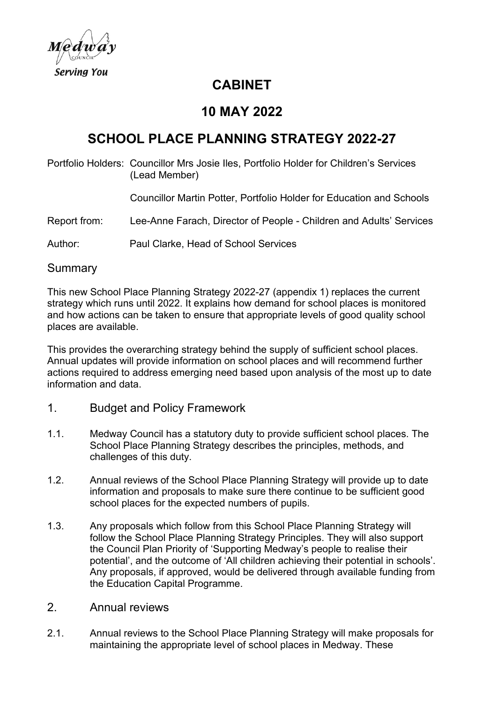

## **CABINET**

### **10 MAY 2022**

# **SCHOOL PLACE PLANNING STRATEGY 2022-27**

Portfolio Holders: Councillor Mrs Josie Iles, Portfolio Holder for Children's Services (Lead Member)

Councillor Martin Potter, Portfolio Holder for Education and Schools

Report from: Lee-Anne Farach, Director of People - Children and Adults' Services

Author: Paul Clarke, Head of School Services

**Summary** 

This new School Place Planning Strategy 2022-27 (appendix 1) replaces the current strategy which runs until 2022. It explains how demand for school places is monitored and how actions can be taken to ensure that appropriate levels of good quality school places are available.

This provides the overarching strategy behind the supply of sufficient school places. Annual updates will provide information on school places and will recommend further actions required to address emerging need based upon analysis of the most up to date information and data.

- 1. Budget and Policy Framework
- 1.1. Medway Council has a statutory duty to provide sufficient school places. The School Place Planning Strategy describes the principles, methods, and challenges of this duty.
- 1.2. Annual reviews of the School Place Planning Strategy will provide up to date information and proposals to make sure there continue to be sufficient good school places for the expected numbers of pupils.
- 1.3. Any proposals which follow from this School Place Planning Strategy will follow the School Place Planning Strategy Principles. They will also support the Council Plan Priority of 'Supporting Medway's people to realise their potential', and the outcome of 'All children achieving their potential in schools'. Any proposals, if approved, would be delivered through available funding from the Education Capital Programme.
- 2. Annual reviews
- 2.1. Annual reviews to the School Place Planning Strategy will make proposals for maintaining the appropriate level of school places in Medway. These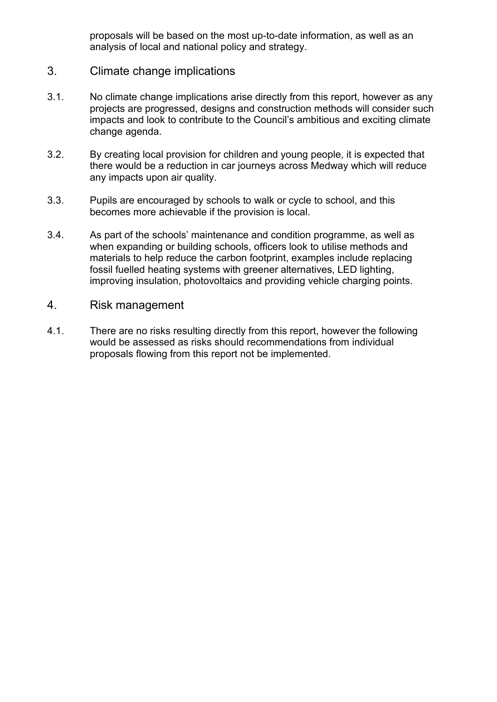proposals will be based on the most up-to-date information, as well as an analysis of local and national policy and strategy.

- 3. Climate change implications
- 3.1. No climate change implications arise directly from this report, however as any projects are progressed, designs and construction methods will consider such impacts and look to contribute to the Council's ambitious and exciting climate change agenda.
- 3.2. By creating local provision for children and young people, it is expected that there would be a reduction in car journeys across Medway which will reduce any impacts upon air quality.
- 3.3. Pupils are encouraged by schools to walk or cycle to school, and this becomes more achievable if the provision is local.
- 3.4. As part of the schools' maintenance and condition programme, as well as when expanding or building schools, officers look to utilise methods and materials to help reduce the carbon footprint, examples include replacing fossil fuelled heating systems with greener alternatives, LED lighting, improving insulation, photovoltaics and providing vehicle charging points.
- 4. Risk management
- 4.1. There are no risks resulting directly from this report, however the following would be assessed as risks should recommendations from individual proposals flowing from this report not be implemented.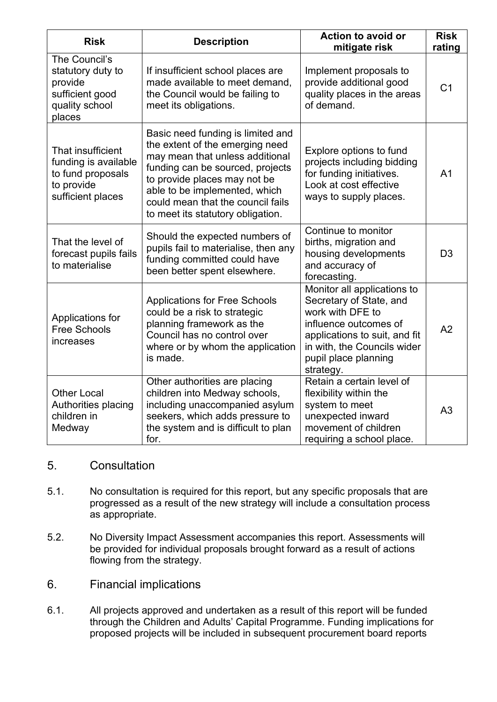| <b>Risk</b>                                                                                       | <b>Description</b>                                                                                                                                                                                                                                                                     | <b>Action to avoid or</b><br>mitigate risk                                                                                                                                                               | <b>Risk</b><br>rating |
|---------------------------------------------------------------------------------------------------|----------------------------------------------------------------------------------------------------------------------------------------------------------------------------------------------------------------------------------------------------------------------------------------|----------------------------------------------------------------------------------------------------------------------------------------------------------------------------------------------------------|-----------------------|
| The Council's<br>statutory duty to<br>provide<br>sufficient good<br>quality school<br>places      | If insufficient school places are<br>made available to meet demand,<br>the Council would be failing to<br>meet its obligations.                                                                                                                                                        | Implement proposals to<br>provide additional good<br>quality places in the areas<br>of demand.                                                                                                           | C <sub>1</sub>        |
| That insufficient<br>funding is available<br>to fund proposals<br>to provide<br>sufficient places | Basic need funding is limited and<br>the extent of the emerging need<br>may mean that unless additional<br>funding can be sourced, projects<br>to provide places may not be<br>able to be implemented, which<br>could mean that the council fails<br>to meet its statutory obligation. | Explore options to fund<br>projects including bidding<br>for funding initiatives.<br>Look at cost effective<br>ways to supply places.                                                                    | A <sub>1</sub>        |
| That the level of<br>forecast pupils fails<br>to materialise                                      | Should the expected numbers of<br>pupils fail to materialise, then any<br>funding committed could have<br>been better spent elsewhere.                                                                                                                                                 | Continue to monitor<br>births, migration and<br>housing developments<br>and accuracy of<br>forecasting.                                                                                                  | D <sub>3</sub>        |
| Applications for<br><b>Free Schools</b><br>increases                                              | <b>Applications for Free Schools</b><br>could be a risk to strategic<br>planning framework as the<br>Council has no control over<br>where or by whom the application<br>is made.                                                                                                       | Monitor all applications to<br>Secretary of State, and<br>work with DFE to<br>influence outcomes of<br>applications to suit, and fit<br>in with, the Councils wider<br>pupil place planning<br>strategy. | A2                    |
| <b>Other Local</b><br>Authorities placing<br>children in<br>Medway                                | Other authorities are placing<br>children into Medway schools,<br>including unaccompanied asylum<br>seekers, which adds pressure to<br>the system and is difficult to plan<br>for.                                                                                                     | Retain a certain level of<br>flexibility within the<br>system to meet<br>unexpected inward<br>movement of children<br>requiring a school place.                                                          | A <sub>3</sub>        |

### 5. Consultation

- 5.1. No consultation is required for this report, but any specific proposals that are progressed as a result of the new strategy will include a consultation process as appropriate.
- 5.2. No Diversity Impact Assessment accompanies this report. Assessments will be provided for individual proposals brought forward as a result of actions flowing from the strategy.
- 6. Financial implications
- 6.1. All projects approved and undertaken as a result of this report will be funded through the Children and Adults' Capital Programme. Funding implications for proposed projects will be included in subsequent procurement board reports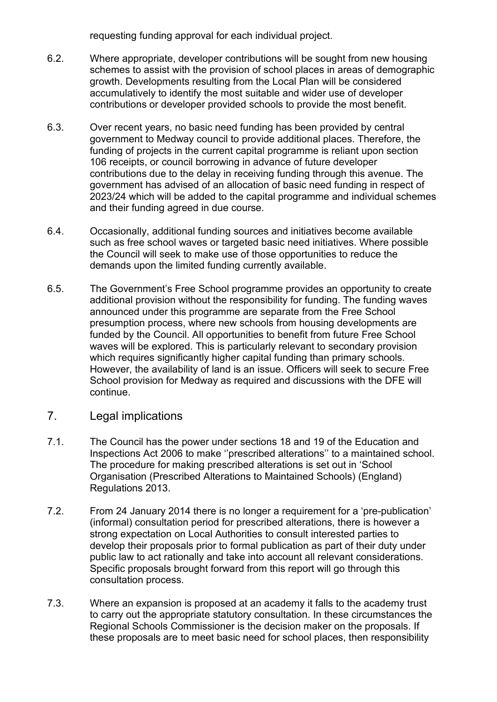requesting funding approval for each individual project.

- 6.2. Where appropriate, developer contributions will be sought from new housing schemes to assist with the provision of school places in areas of demographic growth. Developments resulting from the Local Plan will be considered accumulatively to identify the most suitable and wider use of developer contributions or developer provided schools to provide the most benefit.
- 6.3. Over recent years, no basic need funding has been provided by central government to Medway council to provide additional places. Therefore, the funding of projects in the current capital programme is reliant upon section 106 receipts, or council borrowing in advance of future developer contributions due to the delay in receiving funding through this avenue. The government has advised of an allocation of basic need funding in respect of 2023/24 which will be added to the capital programme and individual schemes and their funding agreed in due course.
- 6.4. Occasionally, additional funding sources and initiatives become available such as free school waves or targeted basic need initiatives. Where possible the Council will seek to make use of those opportunities to reduce the demands upon the limited funding currently available.
- 6.5. The Government's Free School programme provides an opportunity to create additional provision without the responsibility for funding. The funding waves announced under this programme are separate from the Free School presumption process, where new schools from housing developments are funded by the Council. All opportunities to benefit from future Free School waves will be explored. This is particularly relevant to secondary provision which requires significantly higher capital funding than primary schools. However, the availability of land is an issue. Officers will seek to secure Free School provision for Medway as required and discussions with the DFE will continue.
- 7. Legal implications
- 7.1. The Council has the power under sections 18 and 19 of the Education and Inspections Act 2006 to make ''prescribed alterations'' to a maintained school. The procedure for making prescribed alterations is set out in 'School Organisation (Prescribed Alterations to Maintained Schools) (England) Regulations 2013.
- 7.2. From 24 January 2014 there is no longer a requirement for a 'pre-publication' (informal) consultation period for prescribed alterations, there is however a strong expectation on Local Authorities to consult interested parties to develop their proposals prior to formal publication as part of their duty under public law to act rationally and take into account all relevant considerations. Specific proposals brought forward from this report will go through this consultation process.
- 7.3. Where an expansion is proposed at an academy it falls to the academy trust to carry out the appropriate statutory consultation. In these circumstances the Regional Schools Commissioner is the decision maker on the proposals. If these proposals are to meet basic need for school places, then responsibility